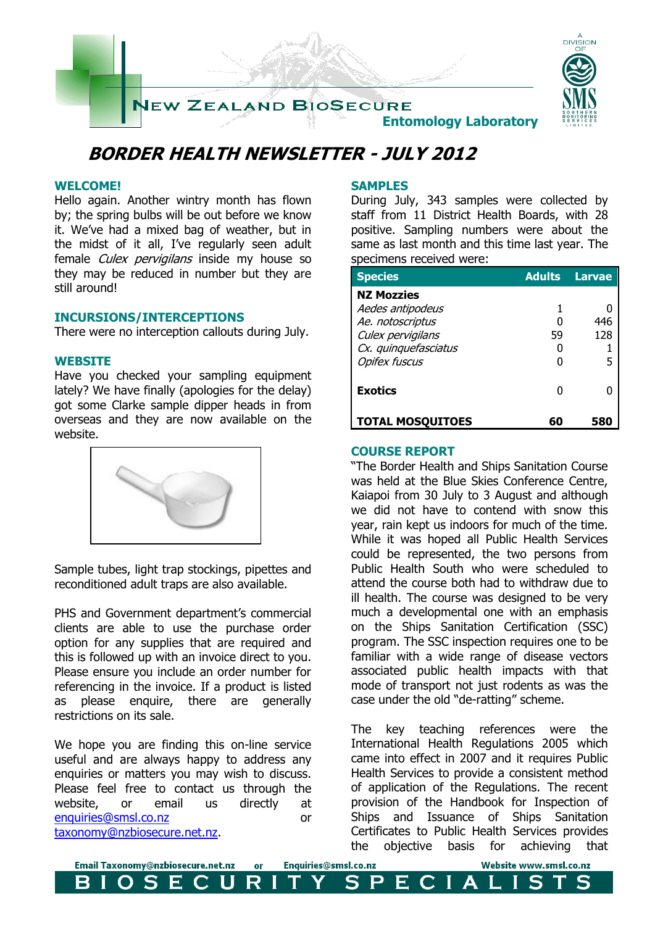

# **BORDER HEALTH NEWSLETTER - JULY 2012**

## **WELCOME!**

Hello again. Another wintry month has flown by; the spring bulbs will be out before we know it. We've had a mixed bag of weather, but in the midst of it all, I've regularly seen adult female *Culex pervigilans* inside my house so they may be reduced in number but they are still around!

### **INCURSIONS/INTERCEPTIONS**

There were no interception callouts during July.

### **WEBSITE**

Have you checked your sampling equipment lately? We have finally (apologies for the delay) got some Clarke sample dipper heads in from overseas and they are now available on the website.



Sample tubes, light trap stockings, pipettes and reconditioned adult traps are also available.

PHS and Government department's commercial clients are able to use the purchase order option for any supplies that are required and this is followed up with an invoice direct to you. Please ensure you include an order number for referencing in the invoice. If a product is listed as please enquire, there are generally restrictions on its sale.

We hope you are finding this on-line service useful and are always happy to address any enquiries or matters you may wish to discuss. Please feel free to contact us through the website, or email us directly at [enquiries@smsl.co.nz](mailto:enquiries@smsl.co.nz) or [taxonomy@nzbiosecure.net.nz.](mailto:taxonomy@nzbiosecure.net.nz)

Email Taxonomy@nzbiosecure.net.nz

Е

 $\mathbf S$ 

B

## **SAMPLES**

During July, 343 samples were collected by staff from 11 District Health Boards, with 28 positive. Sampling numbers were about the same as last month and this time last year. The specimens received were:

| <b>Species</b>                                                                                                                 | <b>Adults</b> | Larvae          |
|--------------------------------------------------------------------------------------------------------------------------------|---------------|-----------------|
| <b>NZ Mozzies</b><br>Aedes antipodeus<br>Ae. notoscriptus<br>Culex pervigilans<br>Cx. quinquefasciatus<br><b>Opifex fuscus</b> | 59            | 446<br>128<br>5 |
| <b>Exotics</b>                                                                                                                 |               |                 |
| <b>TOTAL MOSQUITOES</b>                                                                                                        |               |                 |

## **COURSE REPORT**

Enquiries@smsl.co.nz

S.

PECIA

or

R

U

"The Border Health and Ships Sanitation Course was held at the Blue Skies Conference Centre, Kaiapoi from 30 July to 3 August and although we did not have to contend with snow this year, rain kept us indoors for much of the time. While it was hoped all Public Health Services could be represented, the two persons from Public Health South who were scheduled to attend the course both had to withdraw due to ill health. The course was designed to be very much a developmental one with an emphasis on the Ships Sanitation Certification (SSC) program. The SSC inspection requires one to be familiar with a wide range of disease vectors associated public health impacts with that mode of transport not just rodents as was the case under the old "de-ratting" scheme.

The key teaching references were the International Health Regulations 2005 which came into effect in 2007 and it requires Public Health Services to provide a consistent method of application of the Regulations. The recent provision of the Handbook for Inspection of Ships and Issuance of Ships Sanitation Certificates to Public Health Services provides the objective basis for achieving that

Ι.

Website www.smsl.co.nz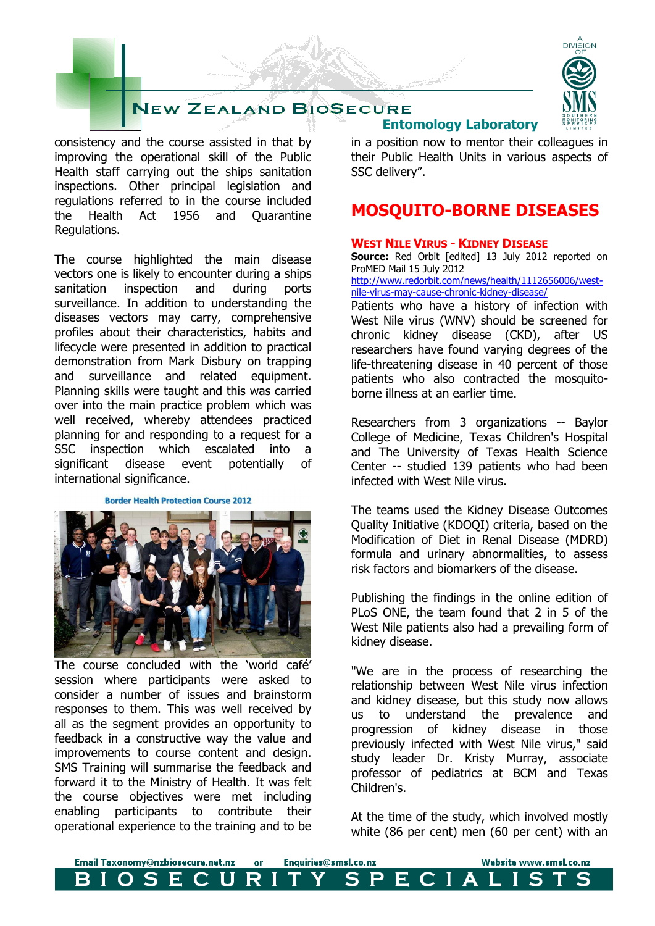# **JEW ZEALAND BIOSECURE**

consistency and the course assisted in that by improving the operational skill of the Public Health staff carrying out the ships sanitation inspections. Other principal legislation and regulations referred to in the course included the Health Act 1956 and Quarantine Regulations.

The course highlighted the main disease vectors one is likely to encounter during a ships sanitation inspection and during ports surveillance. In addition to understanding the diseases vectors may carry, comprehensive profiles about their characteristics, habits and lifecycle were presented in addition to practical demonstration from Mark Disbury on trapping and surveillance and related equipment. Planning skills were taught and this was carried over into the main practice problem which was well received, whereby attendees practiced planning for and responding to a request for a SSC inspection which escalated into a significant disease event potentially of international significance.

#### **Border Health Protection Course 2012**



The course concluded with the 'world café' session where participants were asked to consider a number of issues and brainstorm responses to them. This was well received by all as the segment provides an opportunity to feedback in a constructive way the value and improvements to course content and design. SMS Training will summarise the feedback and forward it to the Ministry of Health. It was felt the course objectives were met including enabling participants to contribute their operational experience to the training and to be



## **Entomology Laboratory**

in a position now to mentor their colleagues in their Public Health Units in various aspects of SSC delivery".

## **MOSQUITO-BORNE DISEASES**

#### **WEST NILE VIRUS - KIDNEY DISEASE**

**Source:** Red Orbit [edited] 13 July 2012 reported on ProMED Mail 15 July 2012

[http://www.redorbit.com/news/health/1112656006/west](http://www.redorbit.com/news/health/1112656006/west-nile-virus-may-cause-chronic-kidney-disease/)[nile-virus-may-cause-chronic-kidney-disease/](http://www.redorbit.com/news/health/1112656006/west-nile-virus-may-cause-chronic-kidney-disease/)

Patients who have a history of infection with West Nile virus (WNV) should be screened for chronic kidney disease (CKD), after US researchers have found varying degrees of the life-threatening disease in 40 percent of those patients who also contracted the mosquitoborne illness at an earlier time.

Researchers from 3 organizations -- Baylor College of Medicine, Texas Children's Hospital and The University of Texas Health Science Center -- studied 139 patients who had been infected with West Nile virus.

The teams used the Kidney Disease Outcomes Quality Initiative (KDOQI) criteria, based on the Modification of Diet in Renal Disease (MDRD) formula and urinary abnormalities, to assess risk factors and biomarkers of the disease.

Publishing the findings in the online edition of PLoS ONE, the team found that 2 in 5 of the West Nile patients also had a prevailing form of kidney disease.

"We are in the process of researching the relationship between West Nile virus infection and kidney disease, but this study now allows us to understand the prevalence and progression of kidney disease in those previously infected with West Nile virus," said study leader Dr. Kristy Murray, associate professor of pediatrics at BCM and Texas Children's.

At the time of the study, which involved mostly white (86 per cent) men (60 per cent) with an